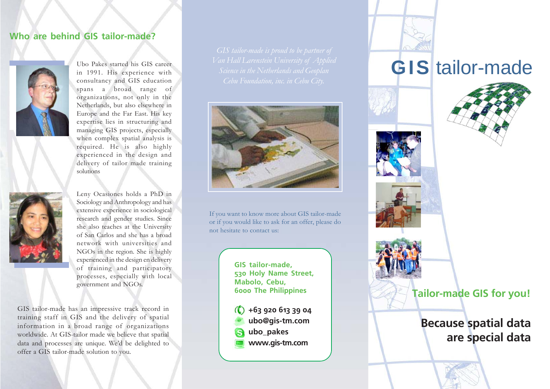## **Who are behind GIS tailor-made?**



Ubo Pakes started his GIS career in 1991. His experience with consultancy and GIS education spans a broad range of organizations, not only in the Netherlands, but also elsewhere in Europe and the Far East. His key expertise lies in structuring and managing GIS projects, especially when complex spatial analysis is required. He is also highly experienced in the design and delivery of tailor made training solutions



Leny Ocasiones holds a PhD in Sociology and Anthropology and has extensive experience in sociological research and gender studies. Since she also teaches at the University of San Carlos and she has a broad network with universities and NGOs in the region. She is highly experienced in the design en delivery of training and participatory processes, especially with local government and NGOs.

GIS tailor-made has an impressive track record in training staff in GIS and the delivery of spatial information in a broad range of organizations worldwide. At GIS-tailor made we believe that spatial data and processes are unique. We'd be delighted to offer a GIS tailor-made solution to you.



If you want to know more about GIS tailor-made or if you would like to ask for an offer, please do not hesitate to contact us:

> **GIS tailor-made, 530 Holy Name Street, Mabolo, Cebu, 6000 The Philippines**

**+63 920 613 39 04 ubo@gis-tm.com ubo\_pakes www.gis-tm.com**